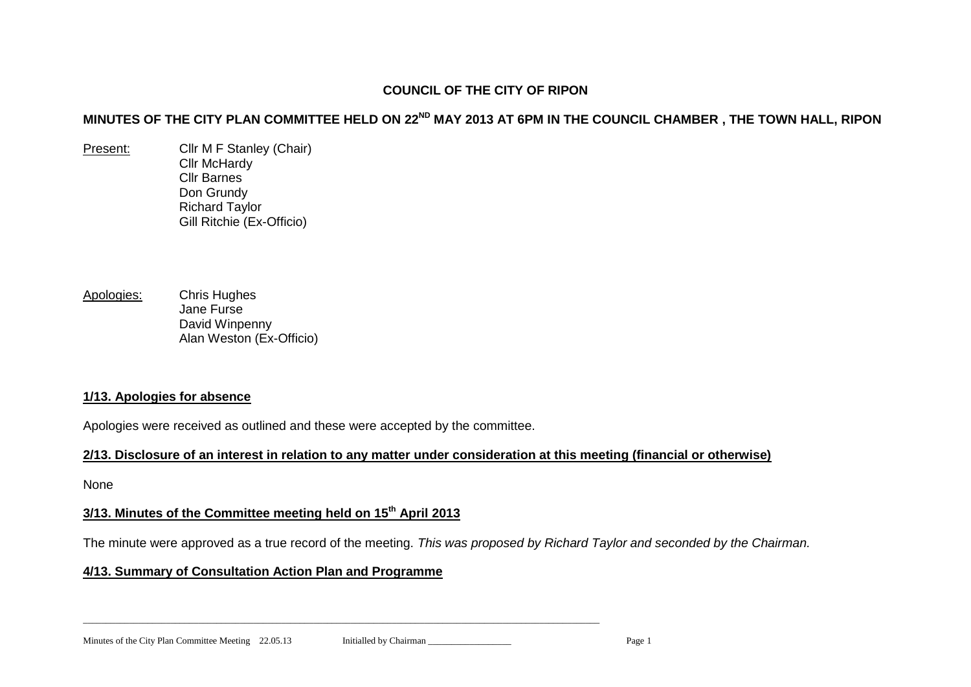### **COUNCIL OF THE CITY OF RIPON**

# **MINUTES OF THE CITY PLAN COMMITTEE HELD ON 22ND MAY 2013 AT 6PM IN THE COUNCIL CHAMBER , THE TOWN HALL, RIPON**

- Present: Cllr M F Stanley (Chair) Cllr McHardy Cllr Barnes Don Grundy Richard Taylor Gill Ritchie (Ex-Officio)
- Apologies: Chris Hughes Jane Furse David Winpenny Alan Weston (Ex-Officio)

#### **1/13. Apologies for absence**

Apologies were received as outlined and these were accepted by the committee.

### **2/13. Disclosure of an interest in relation to any matter under consideration at this meeting (financial or otherwise)**

None

# **3/13. Minutes of the Committee meeting held on 15th April 2013**

The minute were approved as a true record of the meeting. *This was proposed by Richard Taylor and seconded by the Chairman.*

### **4/13. Summary of Consultation Action Plan and Programme**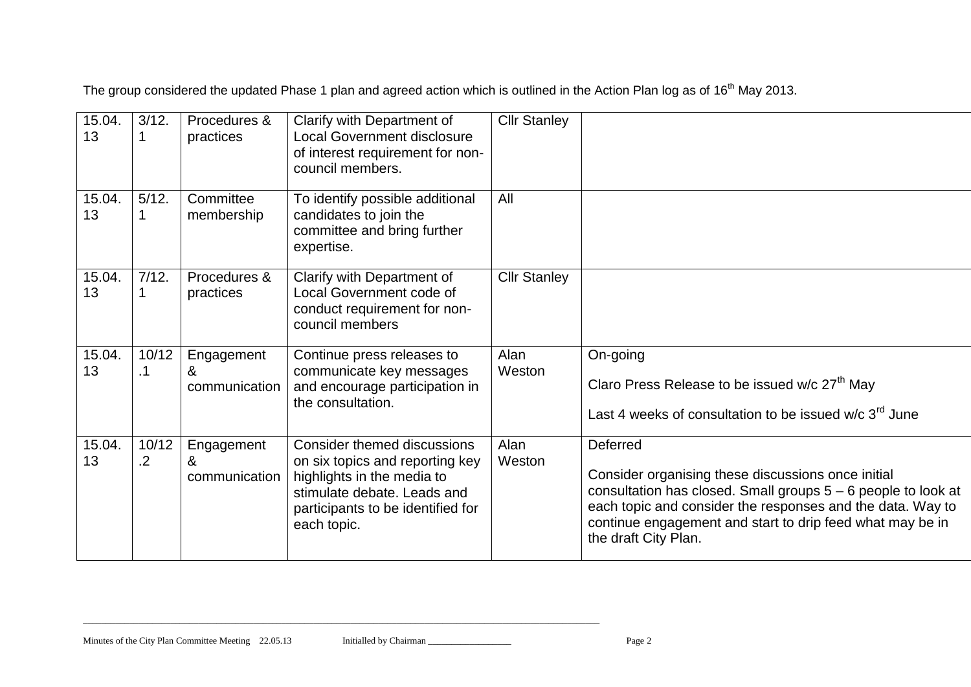The group considered the updated Phase 1 plan and agreed action which is outlined in the Action Plan log as of 16<sup>th</sup> May 2013.

| 15.04.<br>13 | 3/12.               | Procedures &<br>practices        | Clarify with Department of<br><b>Local Government disclosure</b><br>of interest requirement for non-<br>council members.                                                               | <b>Cllr Stanley</b> |                                                                                                                                                                                                                                                                                    |
|--------------|---------------------|----------------------------------|----------------------------------------------------------------------------------------------------------------------------------------------------------------------------------------|---------------------|------------------------------------------------------------------------------------------------------------------------------------------------------------------------------------------------------------------------------------------------------------------------------------|
| 15.04.<br>13 | 5/12.               | Committee<br>membership          | To identify possible additional<br>candidates to join the<br>committee and bring further<br>expertise.                                                                                 | All                 |                                                                                                                                                                                                                                                                                    |
| 15.04.<br>13 | 7/12.               | Procedures &<br>practices        | Clarify with Department of<br>Local Government code of<br>conduct requirement for non-<br>council members                                                                              | <b>Cllr Stanley</b> |                                                                                                                                                                                                                                                                                    |
| 15.04.<br>13 | 10/12<br>$\cdot$ 1  | Engagement<br>&<br>communication | Continue press releases to<br>communicate key messages<br>and encourage participation in<br>the consultation.                                                                          | Alan<br>Weston      | On-going<br>Claro Press Release to be issued w/c 27 <sup>th</sup> May<br>Last 4 weeks of consultation to be issued w/c 3 <sup>rd</sup> June                                                                                                                                        |
| 15.04.<br>13 | 10/12<br>$\cdot$ .2 | Engagement<br>&<br>communication | <b>Consider themed discussions</b><br>on six topics and reporting key<br>highlights in the media to<br>stimulate debate. Leads and<br>participants to be identified for<br>each topic. | Alan<br>Weston      | Deferred<br>Consider organising these discussions once initial<br>consultation has closed. Small groups 5 - 6 people to look at<br>each topic and consider the responses and the data. Way to<br>continue engagement and start to drip feed what may be in<br>the draft City Plan. |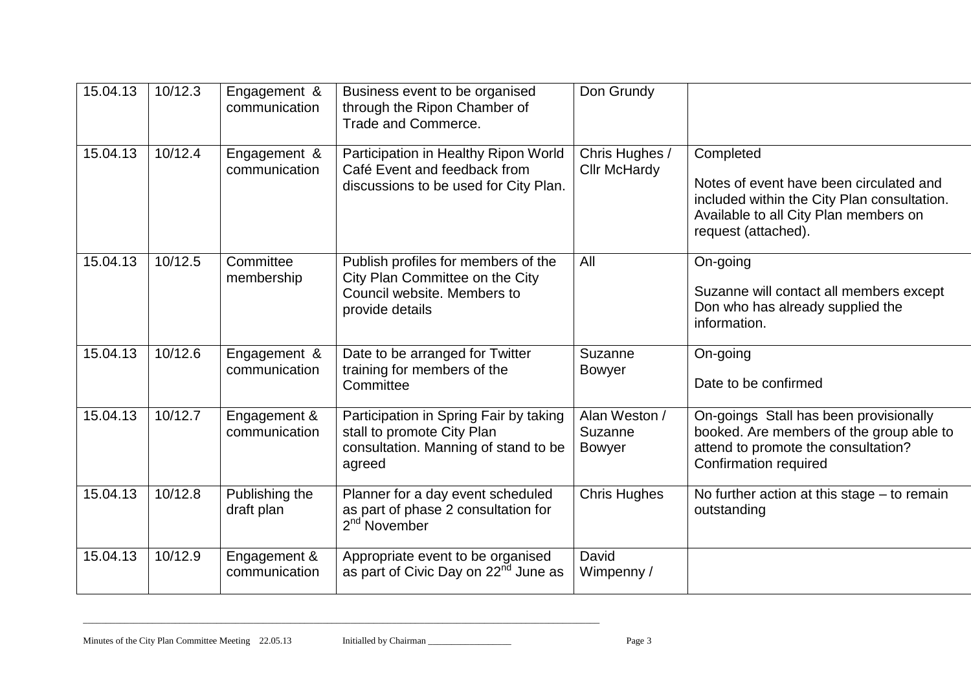| 15.04.13 | 10/12.3 | Engagement &<br>communication | Business event to be organised<br>through the Ripon Chamber of<br>Trade and Commerce.                                    | Don Grundy                                |                                                                                                                                                                     |
|----------|---------|-------------------------------|--------------------------------------------------------------------------------------------------------------------------|-------------------------------------------|---------------------------------------------------------------------------------------------------------------------------------------------------------------------|
| 15.04.13 | 10/12.4 | Engagement &<br>communication | Participation in Healthy Ripon World<br>Café Event and feedback from<br>discussions to be used for City Plan.            | Chris Hughes /<br><b>Cllr McHardy</b>     | Completed<br>Notes of event have been circulated and<br>included within the City Plan consultation.<br>Available to all City Plan members on<br>request (attached). |
| 15.04.13 | 10/12.5 | Committee<br>membership       | Publish profiles for members of the<br>City Plan Committee on the City<br>Council website. Members to<br>provide details | All                                       | On-going<br>Suzanne will contact all members except<br>Don who has already supplied the<br>information.                                                             |
| 15.04.13 | 10/12.6 | Engagement &<br>communication | Date to be arranged for Twitter<br>training for members of the<br>Committee                                              | Suzanne<br><b>Bowyer</b>                  | On-going<br>Date to be confirmed                                                                                                                                    |
| 15.04.13 | 10/12.7 | Engagement &<br>communication | Participation in Spring Fair by taking<br>stall to promote City Plan<br>consultation. Manning of stand to be<br>agreed   | Alan Weston /<br>Suzanne<br><b>Bowyer</b> | On-goings Stall has been provisionally<br>booked. Are members of the group able to<br>attend to promote the consultation?<br>Confirmation required                  |
| 15.04.13 | 10/12.8 | Publishing the<br>draft plan  | Planner for a day event scheduled<br>as part of phase 2 consultation for<br>2 <sup>nd</sup> November                     | <b>Chris Hughes</b>                       | No further action at this stage – to remain<br>outstanding                                                                                                          |
| 15.04.13 | 10/12.9 | Engagement &<br>communication | Appropriate event to be organised<br>as part of Civic Day on 22 <sup>nd</sup> June as                                    | David<br>Wimpenny /                       |                                                                                                                                                                     |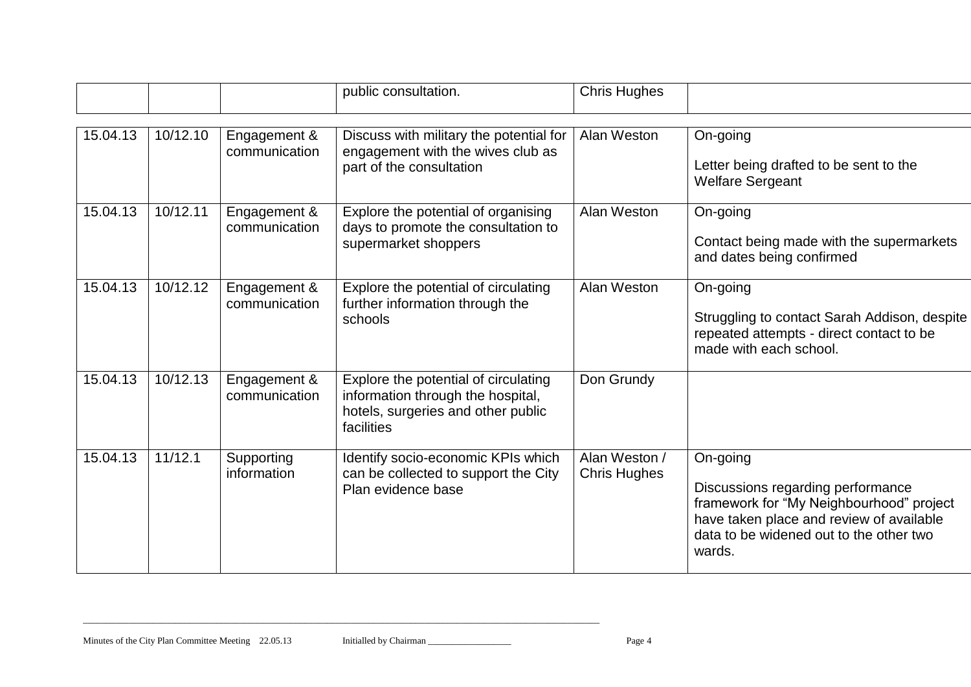|          |          |                               | public consultation.                                                                                                          | <b>Chris Hughes</b>                  |                                                                                                                                                                                            |
|----------|----------|-------------------------------|-------------------------------------------------------------------------------------------------------------------------------|--------------------------------------|--------------------------------------------------------------------------------------------------------------------------------------------------------------------------------------------|
| 15.04.13 | 10/12.10 | Engagement &<br>communication | Discuss with military the potential for<br>engagement with the wives club as<br>part of the consultation                      | Alan Weston                          | On-going<br>Letter being drafted to be sent to the<br><b>Welfare Sergeant</b>                                                                                                              |
| 15.04.13 | 10/12.11 | Engagement &<br>communication | Explore the potential of organising<br>days to promote the consultation to<br>supermarket shoppers                            | Alan Weston                          | On-going<br>Contact being made with the supermarkets<br>and dates being confirmed                                                                                                          |
| 15.04.13 | 10/12.12 | Engagement &<br>communication | Explore the potential of circulating<br>further information through the<br>schools                                            | Alan Weston                          | On-going<br>Struggling to contact Sarah Addison, despite<br>repeated attempts - direct contact to be<br>made with each school.                                                             |
| 15.04.13 | 10/12.13 | Engagement &<br>communication | Explore the potential of circulating<br>information through the hospital,<br>hotels, surgeries and other public<br>facilities | Don Grundy                           |                                                                                                                                                                                            |
| 15.04.13 | 11/12.1  | Supporting<br>information     | Identify socio-economic KPIs which<br>can be collected to support the City<br>Plan evidence base                              | Alan Weston /<br><b>Chris Hughes</b> | On-going<br>Discussions regarding performance<br>framework for "My Neighbourhood" project<br>have taken place and review of available<br>data to be widened out to the other two<br>wards. |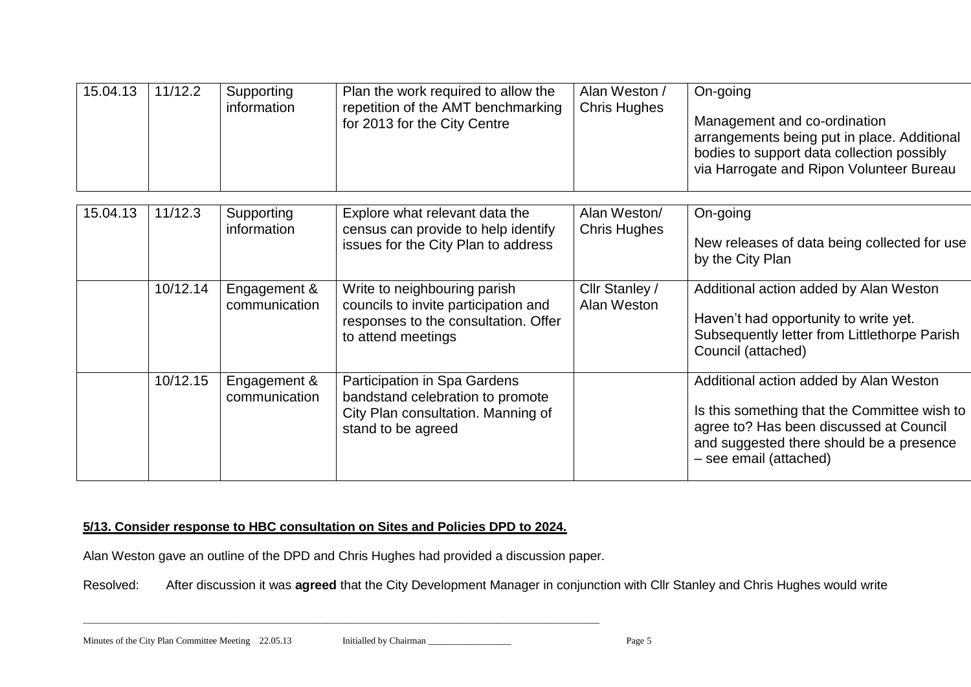| 15.04.13 | 11/12.2  | Supporting<br>information     | Plan the work required to allow the<br>repetition of the AMT benchmarking<br>for 2013 for the City Centre                          | Alan Weston /<br><b>Chris Hughes</b> | On-going<br>Management and co-ordination<br>arrangements being put in place. Additional<br>bodies to support data collection possibly<br>via Harrogate and Ripon Volunteer Bureau                       |
|----------|----------|-------------------------------|------------------------------------------------------------------------------------------------------------------------------------|--------------------------------------|---------------------------------------------------------------------------------------------------------------------------------------------------------------------------------------------------------|
|          |          |                               |                                                                                                                                    |                                      |                                                                                                                                                                                                         |
| 15.04.13 | 11/12.3  | Supporting<br>information     | Explore what relevant data the<br>census can provide to help identify<br>issues for the City Plan to address                       | Alan Weston/<br><b>Chris Hughes</b>  | On-going<br>New releases of data being collected for use<br>by the City Plan                                                                                                                            |
|          | 10/12.14 | Engagement &<br>communication | Write to neighbouring parish<br>councils to invite participation and<br>responses to the consultation. Offer<br>to attend meetings | Cllr Stanley /<br>Alan Weston        | Additional action added by Alan Weston<br>Haven't had opportunity to write yet.<br>Subsequently letter from Littlethorpe Parish<br>Council (attached)                                                   |
|          | 10/12.15 | Engagement &<br>communication | Participation in Spa Gardens<br>bandstand celebration to promote<br>City Plan consultation. Manning of<br>stand to be agreed       |                                      | Additional action added by Alan Weston<br>Is this something that the Committee wish to<br>agree to? Has been discussed at Council<br>and suggested there should be a presence<br>- see email (attached) |

# **5/13. Consider response to HBC consultation on Sites and Policies DPD to 2024.**

Alan Weston gave an outline of the DPD and Chris Hughes had provided a discussion paper.

 $\_$  ,  $\_$  ,  $\_$  ,  $\_$  ,  $\_$  ,  $\_$  ,  $\_$  ,  $\_$  ,  $\_$  ,  $\_$  ,  $\_$  ,  $\_$  ,  $\_$  ,  $\_$  ,  $\_$  ,  $\_$  ,  $\_$  ,  $\_$  ,  $\_$  ,  $\_$  ,  $\_$  ,  $\_$  ,  $\_$  ,  $\_$  ,  $\_$  ,  $\_$  ,  $\_$  ,  $\_$  ,  $\_$  ,  $\_$  ,  $\_$  ,  $\_$  ,  $\_$  ,  $\_$  ,  $\_$  ,  $\_$  ,  $\_$  ,

Resolved: After discussion it was **agreed** that the City Development Manager in conjunction with Cllr Stanley and Chris Hughes would write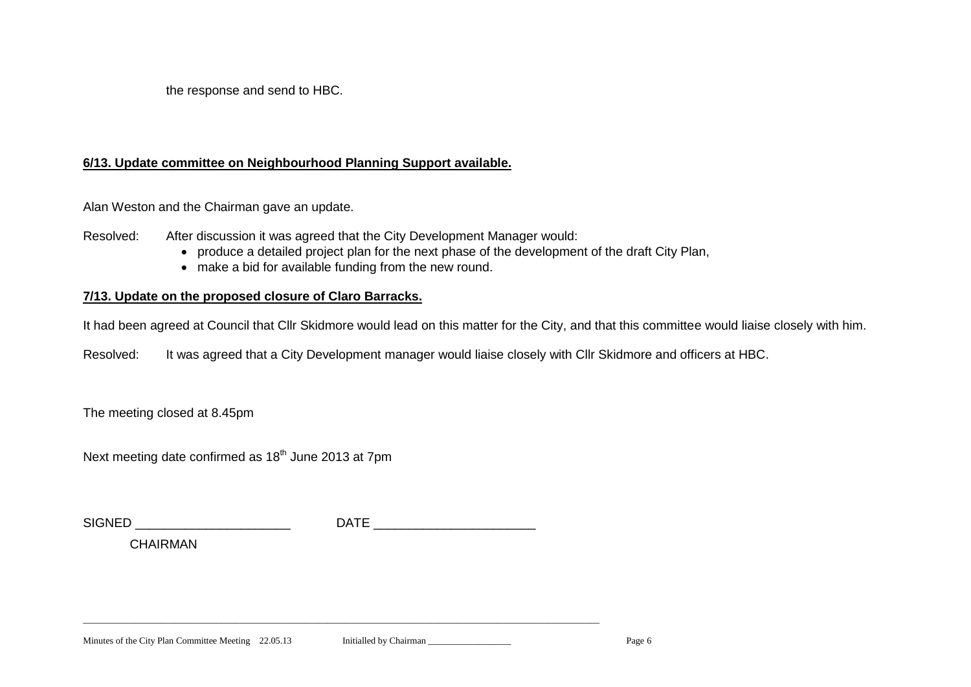the response and send to HBC.

#### **6/13. Update committee on Neighbourhood Planning Support available.**

Alan Weston and the Chairman gave an update.

Resolved: After discussion it was agreed that the City Development Manager would:

- produce a detailed project plan for the next phase of the development of the draft City Plan,
- make a bid for available funding from the new round.

# **7/13. Update on the proposed closure of Claro Barracks.**

It had been agreed at Council that Cllr Skidmore would lead on this matter for the City, and that this committee would liaise closely with him.

Resolved: It was agreed that a City Development manager would liaise closely with Cllr Skidmore and officers at HBC.

The meeting closed at 8.45pm

Next meeting date confirmed as  $18<sup>th</sup>$  June 2013 at 7pm

| $\sim$<br><b>NICD</b><br>. מ | <br>. . |
|------------------------------|---------|
| .                            |         |

 $\_$  ,  $\_$  ,  $\_$  ,  $\_$  ,  $\_$  ,  $\_$  ,  $\_$  ,  $\_$  ,  $\_$  ,  $\_$  ,  $\_$  ,  $\_$  ,  $\_$  ,  $\_$  ,  $\_$  ,  $\_$  ,  $\_$  ,  $\_$  ,  $\_$  ,  $\_$  ,  $\_$  ,  $\_$  ,  $\_$  ,  $\_$  ,  $\_$  ,  $\_$  ,  $\_$  ,  $\_$  ,  $\_$  ,  $\_$  ,  $\_$  ,  $\_$  ,  $\_$  ,  $\_$  ,  $\_$  ,  $\_$  ,  $\_$  ,

CHAIRMAN